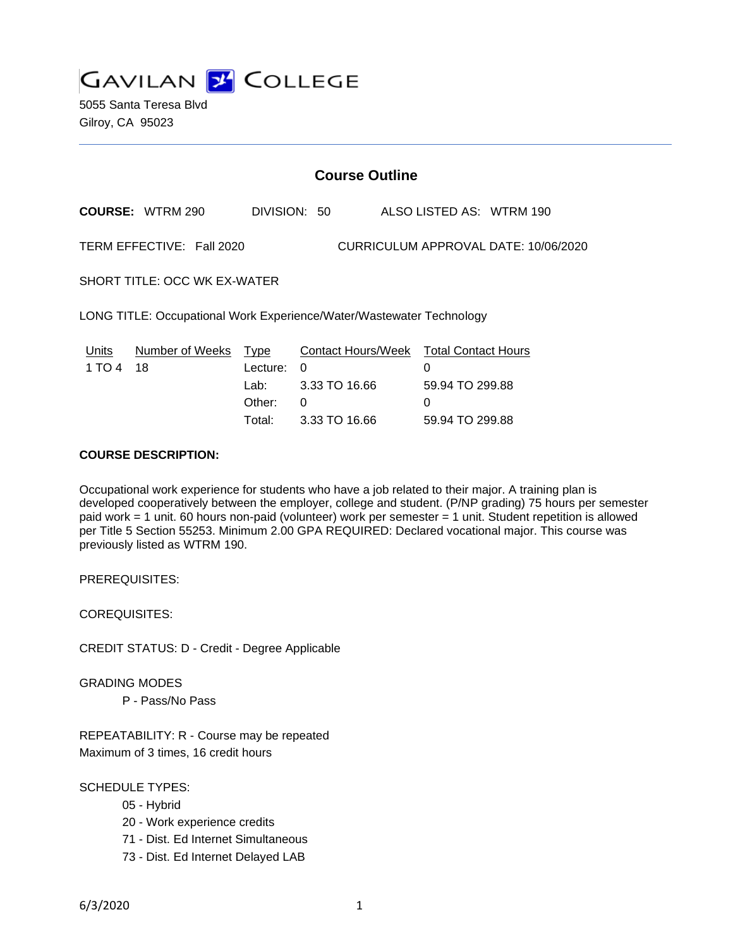

5055 Santa Teresa Blvd Gilroy, CA 95023

# **Course Outline**

**COURSE:** WTRM 290 DIVISION: 50 ALSO LISTED AS: WTRM 190

TERM EFFECTIVE: Fall 2020 CURRICULUM APPROVAL DATE: 10/06/2020

SHORT TITLE: OCC WK EX-WATER

LONG TITLE: Occupational Work Experience/Water/Wastewater Technology

| Units     | Number of Weeks Type |            | Contact Hours/Week Total Contact Hours |                 |
|-----------|----------------------|------------|----------------------------------------|-----------------|
| 1 TO 4 18 |                      | Lecture: 0 |                                        |                 |
|           |                      |            | Lab: 3.33 TO 16.66                     | 59.94 TO 299.88 |
|           |                      | Other:     | - 0                                    | $\Omega$        |
|           |                      | Total:     | 3.33 TO 16.66                          | 59.94 TO 299.88 |

## **COURSE DESCRIPTION:**

Occupational work experience for students who have a job related to their major. A training plan is developed cooperatively between the employer, college and student. (P/NP grading) 75 hours per semester paid work = 1 unit. 60 hours non-paid (volunteer) work per semester = 1 unit. Student repetition is allowed per Title 5 Section 55253. Minimum 2.00 GPA REQUIRED: Declared vocational major. This course was previously listed as WTRM 190.

PREREQUISITES:

COREQUISITES:

CREDIT STATUS: D - Credit - Degree Applicable

GRADING MODES

P - Pass/No Pass

REPEATABILITY: R - Course may be repeated Maximum of 3 times, 16 credit hours

SCHEDULE TYPES:

- 05 Hybrid
- 20 Work experience credits
- 71 Dist. Ed Internet Simultaneous
- 73 Dist. Ed Internet Delayed LAB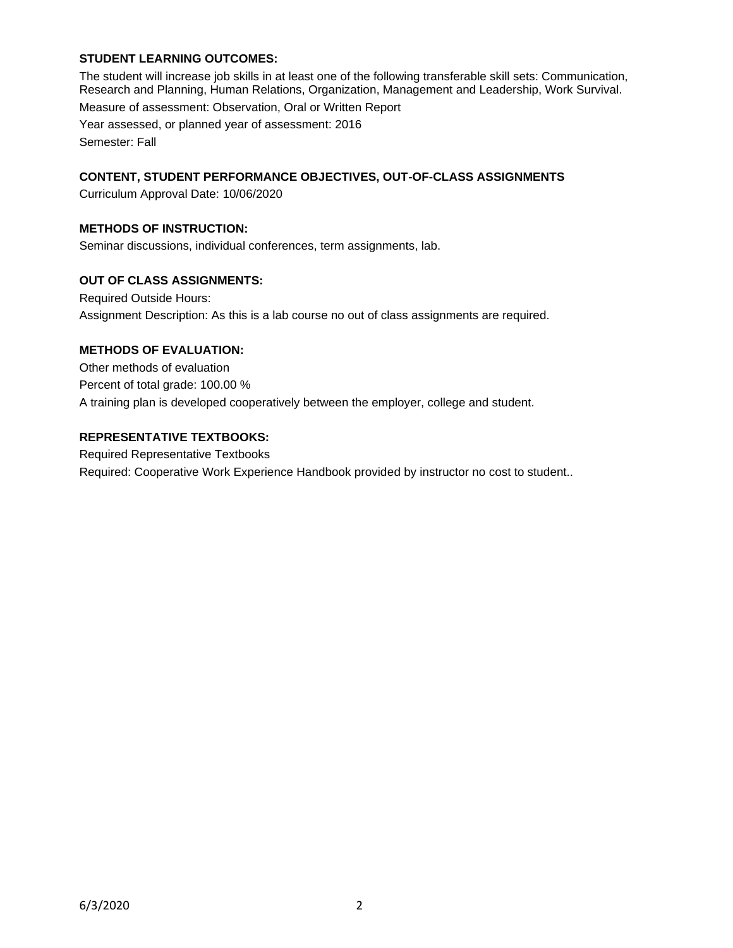## **STUDENT LEARNING OUTCOMES:**

The student will increase job skills in at least one of the following transferable skill sets: Communication, Research and Planning, Human Relations, Organization, Management and Leadership, Work Survival. Measure of assessment: Observation, Oral or Written Report Year assessed, or planned year of assessment: 2016 Semester: Fall

# **CONTENT, STUDENT PERFORMANCE OBJECTIVES, OUT-OF-CLASS ASSIGNMENTS**

Curriculum Approval Date: 10/06/2020

## **METHODS OF INSTRUCTION:**

Seminar discussions, individual conferences, term assignments, lab.

#### **OUT OF CLASS ASSIGNMENTS:**

Required Outside Hours: Assignment Description: As this is a lab course no out of class assignments are required.

# **METHODS OF EVALUATION:**

Other methods of evaluation Percent of total grade: 100.00 % A training plan is developed cooperatively between the employer, college and student.

#### **REPRESENTATIVE TEXTBOOKS:**

Required Representative Textbooks Required: Cooperative Work Experience Handbook provided by instructor no cost to student..